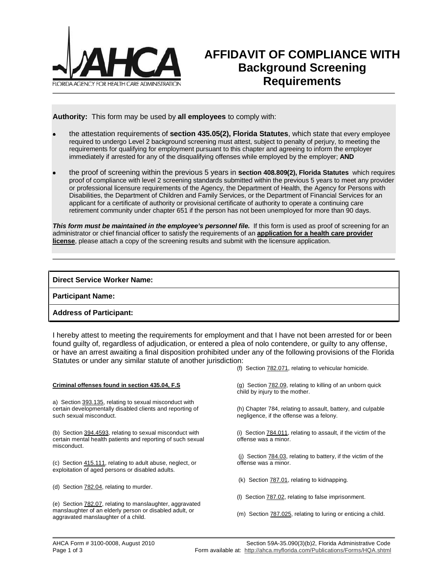

# **AFFIDAVIT OF COMPLIANCE WITH Background Screening Requirements**

**Authority:** This form may be used by **all employees** to comply with:

- the attestation requirements of **section 435.05(2), Florida Statutes**, which state that every employee required to undergo Level 2 background screening must attest, subject to penalty of perjury, to meeting the requirements for qualifying for employment pursuant to this chapter and agreeing to inform the employer immediately if arrested for any of the disqualifying offenses while employed by the employer; **AND**
- the proof of screening within the previous 5 years in **section 408.809(2), Florida Statutes** which requires proof of compliance with level 2 screening standards submitted within the previous 5 years to meet any provider or professional licensure requirements of the Agency, the Department of Health, the Agency for Persons with Disabilities, the Department of Children and Family Services, or the Department of Financial Services for an applicant for a certificate of authority or provisional certificate of authority to operate a continuing care retirement community under chapter 651 if the person has not been unemployed for more than 90 days.

**This form must be maintained in the employee's personnel file.** If this form is used as proof of screening for an administrator or chief financial officer to satisfy the requirements of an **application for a health care provider license**, please attach a copy of the screening results and submit with the licensure application.

### **Direct Service Worker Name:**

**Participant Name:**

### **Address of Participant:**

I hereby attest to meeting the requirements for employment and that I have not been arrested for or been found guilty of, regardless of adjudication, or entered a plea of nolo contendere, or guilty to any offense, or have an arrest awaiting a final disposition prohibited under any of the following provisions of the Florida Statutes or under any similar statute of another jurisdiction:

**Criminal offenses found in section 435.04, F.S**

a) Section 393.135, relating to sexual misconduct with certain developmentally disabled clients and reporting of such sexual misconduct.

(b) Section 394.4593, relating to sexual misconduct with certain mental health patients and reporting of such sexual misconduct.

(c) Section 415.111, relating to adult abuse, neglect, or exploitation of aged persons or disabled adults.

(d) Section 782.04, relating to murder.

(e) Section 782.07, relating to manslaughter, aggravated manslaughter of an elderly person or disabled adult, or aggravated manslaughter of a child.

(f) Section 782.071, relating to vehicular homicide.

(g) Section 782.09, relating to killing of an unborn quick child by injury to the mother.

(h) Chapter 784, relating to assault, battery, and culpable negligence, if the offense was a felony.

(i) Section 784.011, relating to assault, if the victim of the offense was a minor.

 (j) Section 784.03, relating to battery, if the victim of the offense was a minor.

(k) Section 787.01, relating to kidnapping.

(l) Section 787.02, relating to false imprisonment.

(m) Section 787.025, relating to luring or enticing a child.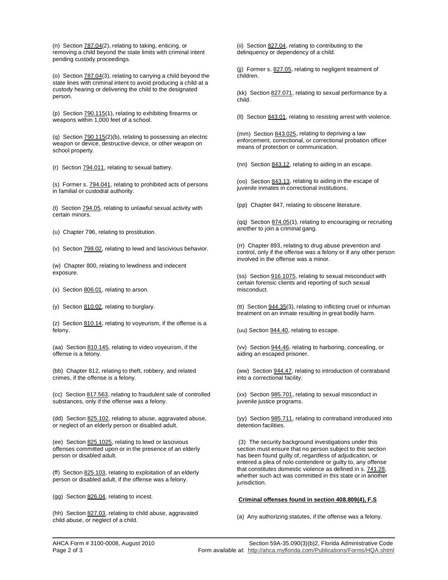(n) Section 787.04(2), relating to taking, enticing, or removing a child beyond the state limits with criminal intent pending custody proceedings.

(o) Section 787.04(3), relating to carrying a child beyond the state lines with criminal intent to avoid producing a child at a custody hearing or delivering the child to the designated person.

(p) Section 790.115(1), relating to exhibiting firearms or weapons within 1,000 feet of a school.

(q) Section 790.115(2)(b), relating to possessing an electric weapon or device, destructive device, or other weapon on school property.

(r) Section 794.011, relating to sexual battery.

(s) Former s. 794.041, relating to prohibited acts of persons in familial or custodial authority.

(t) Section 794.05, relating to unlawful sexual activity with certain minors.

(u) Chapter 796, relating to prostitution.

(v) Section 798.02, relating to lewd and lascivious behavior.

(w) Chapter 800, relating to lewdness and indecent exposure.

(x) Section 806.01, relating to arson.

(y) Section 810.02, relating to burglary.

(z) Section 810.14, relating to voyeurism, if the offense is a felony.

(aa) Section 810.145, relating to video voyeurism, if the offense is a felony.

(bb) Chapter 812, relating to theft, robbery, and related crimes, if the offense is a felony.

(cc) Section 817.563, relating to fraudulent sale of controlled substances, only if the offense was a felony.

(dd) Section 825.102, relating to abuse, aggravated abuse, or neglect of an elderly person or disabled adult.

(ee) Section 825.1025, relating to lewd or lascivious offenses committed upon or in the presence of an elderly person or disabled adult.

(ff) Section 825.103, relating to exploitation of an elderly person or disabled adult, if the offense was a felony.

(gg) Section 826.04, relating to incest.

(hh) Section 827.03, relating to child abuse, aggravated child abuse, or neglect of a child.

(ii) Section 827.04, relating to contributing to the delinquency or dependency of a child.

(jj) Former s. 827.05, relating to negligent treatment of children.

(kk) Section 827.071, relating to sexual performance by a child.

(ll) Section 843.01, relating to resisting arrest with violence.

(mm) Section 843.025, relating to depriving a law enforcement, correctional, or correctional probation officer means of protection or communication.

(nn) Section 843.12, relating to aiding in an escape.

(oo) Section 843.13, relating to aiding in the escape of juvenile inmates in correctional institutions.

(pp) Chapter 847, relating to obscene literature.

(qq) Section 874.05(1), relating to encouraging or recruiting another to join a criminal gang.

(rr) Chapter 893, relating to drug abuse prevention and control, only if the offense was a felony or if any other person involved in the offense was a minor.

(ss) Section 916.1075, relating to sexual misconduct with certain forensic clients and reporting of such sexual misconduct.

(tt) Section 944.35(3), relating to inflicting cruel or inhuman treatment on an inmate resulting in great bodily harm.

(uu) Section 944.40, relating to escape.

(vv) Section 944.46, relating to harboring, concealing, or aiding an escaped prisoner.

(ww) Section 944.47, relating to introduction of contraband into a correctional facility.

(xx) Section 985.701, relating to sexual misconduct in juvenile justice programs.

(yy) Section 985.711, relating to contraband introduced into detention facilities.

 (3) The security background investigations under this section must ensure that no person subject to this section has been found guilty of, regardless of adjudication, or entered a plea of nolo contendere or guilty to, any offense that constitutes domestic violence as defined in s. 741.28, whether such act was committed in this state or in another jurisdiction.

#### **Criminal offenses found in section 408.809(4), F.S**

(a) Any authorizing statutes, if the offense was a felony.